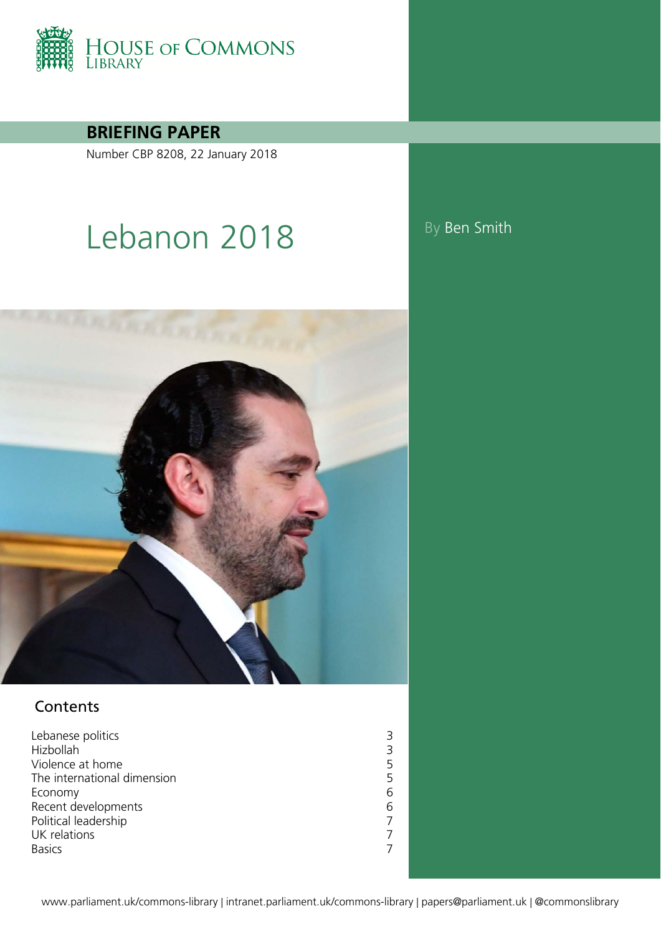

**BRIEFING PAPER**

Number CBP 8208, 22 January 2018

# Lebanon 2018 By Ben Smith



## **Contents**

[Lebanese politics](#page-2-0) 3<br>
Hizbollah 3 [Hizbollah](#page-2-1) 1999 - Samuel Bandwick (1999) - Samuel Bandwick (1999) - Samuel Bandwick (1999) - Samuel Bandwick (1999) - Samuel Bandwick (1999) - Samuel Bandwick (1999) - Samuel Bandwick (1999) - Samuel Bandwick (1999) - Samue [Violence at home](#page-4-0)<br>The international dimension<br>5 [The international dimension](#page-4-1) 5<br>Economy 6 [Economy](#page-5-0) 6<br>Recent developments 6 [Recent developments](#page-5-1)<br>
Political leadership<br>
7 [Political leadership](#page-6-0) 7<br>UK relations 7 [UK relations](#page-6-1) 7<br>Basics 7 [Basics](#page-6-2) 7 and 2012 19:30 and 2013 19:30 19:30 19:30 19:30 19:30 19:30 19:30 19:30 19:30 19:30 19:30 19:30 19:30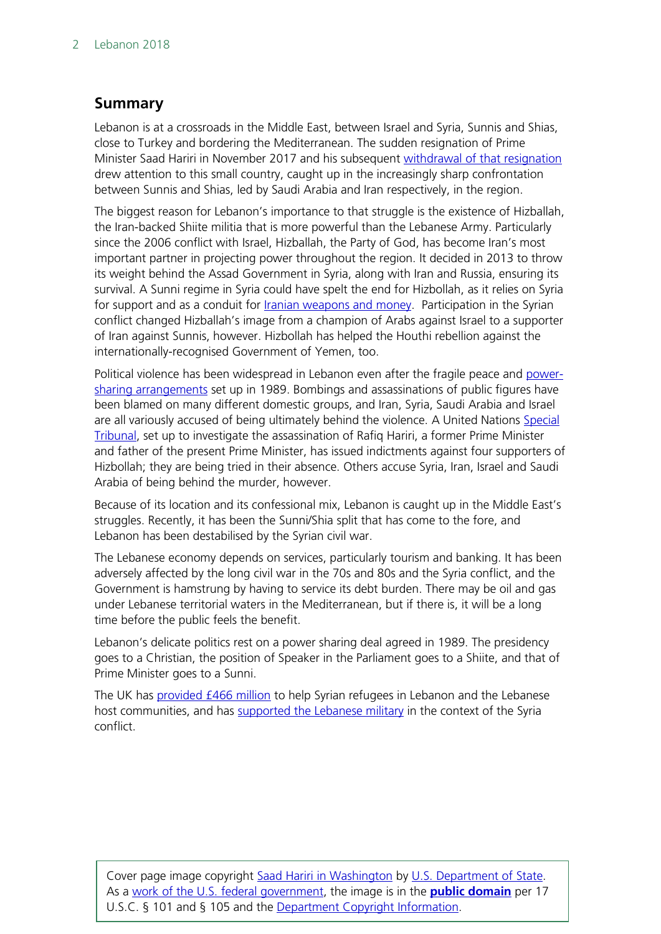## **Summary**

Lebanon is at a crossroads in the Middle East, between Israel and Syria, Sunnis and Shias, close to Turkey and bordering the Mediterranean. The sudden resignation of Prime Minister Saad Hariri in November 2017 and his subsequent [withdrawal of that](http://www.bbc.co.uk/news/world-middle-east-42239355) resignation drew attention to this small country, caught up in the increasingly sharp confrontation between Sunnis and Shias, led by Saudi Arabia and Iran respectively, in the region.

The biggest reason for Lebanon's importance to that struggle is the existence of Hizballah, the Iran-backed Shiite militia that is more powerful than the Lebanese Army. Particularly since the 2006 conflict with Israel, Hizballah, the Party of God, has become Iran's most important partner in projecting power throughout the region. It decided in 2013 to throw its weight behind the Assad Government in Syria, along with Iran and Russia, ensuring its survival. A Sunni regime in Syria could have spelt the end for Hizbollah, as it relies on Syria for support and as a conduit for [Iranian weapons and money.](https://www.nytimes.com/2017/08/27/world/middleeast/hezbollah-iran-syria-israel-lebanon.html) Participation in the Syrian conflict changed Hizballah's image from a champion of Arabs against Israel to a supporter of Iran against Sunnis, however. Hizbollah has helped the Houthi rebellion against the internationally-recognised Government of Yemen, too.

Political violence has been widespread in Lebanon even after the fragile peace and [power](https://www.un.int/lebanon/sites/www.un.int/files/Lebanon/the_taif_agreement_english_version_.pdf)[sharing arrangements](https://www.un.int/lebanon/sites/www.un.int/files/Lebanon/the_taif_agreement_english_version_.pdf) set up in 1989. Bombings and assassinations of public figures have been blamed on many different domestic groups, and Iran, Syria, Saudi Arabia and Israel are all variously accused of being ultimately behind the violence. A United Nations Special [Tribunal,](https://www.stl-tsl.org/en/about-the-stl) set up to investigate the assassination of Rafiq Hariri, a former Prime Minister and father of the present Prime Minister, has issued indictments against four supporters of Hizbollah; they are being tried in their absence. Others accuse Syria, Iran, Israel and Saudi Arabia of being behind the murder, however.

Because of its location and its confessional mix, Lebanon is caught up in the Middle East's struggles. Recently, it has been the Sunni/Shia split that has come to the fore, and Lebanon has been destabilised by the Syrian civil war.

The Lebanese economy depends on services, particularly tourism and banking. It has been adversely affected by the long civil war in the 70s and 80s and the Syria conflict, and the Government is hamstrung by having to service its debt burden. There may be oil and gas under Lebanese territorial waters in the Mediterranean, but if there is, it will be a long time before the public feels the benefit.

Lebanon's delicate politics rest on a power sharing deal agreed in 1989. The presidency goes to a Christian, the position of Speaker in the Parliament goes to a Shiite, and that of Prime Minister goes to a Sunni.

The UK has [provided £466 million](http://www.parliament.uk/written-questions-answers-statements/written-question/lords/2017-10-30/HL2686) to help Syrian refugees in Lebanon and the Lebanese host communities, and has [supported the Lebanese military](http://www.parliament.uk/business/publications/written-questions-answers-statements/written-question/Commons/2016-01-19/23071) in the context of the Syria conflict.

Cover page image copyright [Saad Hariri in Washington](https://commons.wikimedia.org/wiki/File:Saad_Hariri_in_Washington_-_2017_-_(35376275923).jpg) by [U.S. Department of State.](https://www.flickr.com/people/9364837@N06) As a [work of the U.S. federal government,](https://en.wikipedia.org/wiki/Work_of_the_United_States_Government) the image is in the **[public domain](https://en.wikipedia.org/wiki/public_domain)** per 17 U.S.C. § 101 and § 105 and the [Department Copyright Information.](http://www.state.gov/misc/87529.htm#copyright)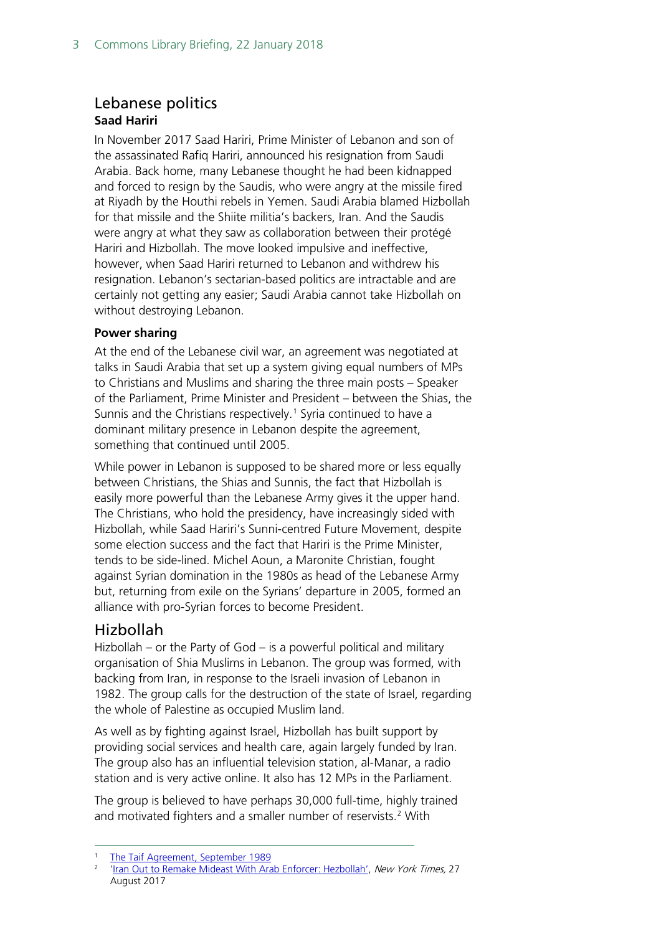## <span id="page-2-0"></span>Lebanese politics **Saad Hariri**

In November 2017 Saad Hariri, Prime Minister of Lebanon and son of the assassinated Rafiq Hariri, announced his resignation from Saudi Arabia. Back home, many Lebanese thought he had been kidnapped and forced to resign by the Saudis, who were angry at the missile fired at Riyadh by the Houthi rebels in Yemen. Saudi Arabia blamed Hizbollah for that missile and the Shiite militia's backers, Iran. And the Saudis were angry at what they saw as collaboration between their protégé Hariri and Hizbollah. The move looked impulsive and ineffective, however, when Saad Hariri returned to Lebanon and withdrew his resignation. Lebanon's sectarian-based politics are intractable and are certainly not getting any easier; Saudi Arabia cannot take Hizbollah on without destroying Lebanon.

#### **Power sharing**

At the end of the Lebanese civil war, an agreement was negotiated at talks in Saudi Arabia that set up a system giving equal numbers of MPs to Christians and Muslims and sharing the three main posts – Speaker of the Parliament, Prime Minister and President – between the Shias, the Sunnis and the Christians respectively.<sup>[1](#page-2-2)</sup> Syria continued to have a dominant military presence in Lebanon despite the agreement, something that continued until 2005.

While power in Lebanon is supposed to be shared more or less equally between Christians, the Shias and Sunnis, the fact that Hizbollah is easily more powerful than the Lebanese Army gives it the upper hand. The Christians, who hold the presidency, have increasingly sided with Hizbollah, while Saad Hariri's Sunni-centred Future Movement, despite some election success and the fact that Hariri is the Prime Minister, tends to be side-lined. Michel Aoun, a Maronite Christian, fought against Syrian domination in the 1980s as head of the Lebanese Army but, returning from exile on the Syrians' departure in 2005, formed an alliance with pro-Syrian forces to become President.

## <span id="page-2-1"></span>Hizbollah

Hizbollah – or the Party of God – is a powerful political and military organisation of Shia Muslims in Lebanon. The group was formed, with backing from Iran, in response to the Israeli invasion of Lebanon in 1982. The group calls for the destruction of the state of Israel, regarding the whole of Palestine as occupied Muslim land.

As well as by fighting against Israel, Hizbollah has built support by providing social services and health care, again largely funded by Iran. The group also has an influential television station, al-Manar, a radio station and is very active online. It also has 12 MPs in the Parliament.

The group is believed to have perhaps 30,000 full-time, highly trained and motivated fighters and a smaller number of reservists.<sup>[2](#page-2-3)</sup> With

<span id="page-2-3"></span><span id="page-2-2"></span><sup>&</sup>lt;sup>1</sup> [The Taif Agreement, September 1989](https://www.un.int/lebanon/sites/www.un.int/files/Lebanon/the_taif_agreement_english_version_.pdf)<br><sup>2</sup> Trap Out to Bemake Mideast With Ara

[<sup>&#</sup>x27;Iran Out to Remake Mideast With Arab Enforcer: Hezbollah',](https://www.nytimes.com/2017/08/27/world/middleeast/hezbollah-iran-syria-israel-lebanon.html) New York Times, 27 August 2017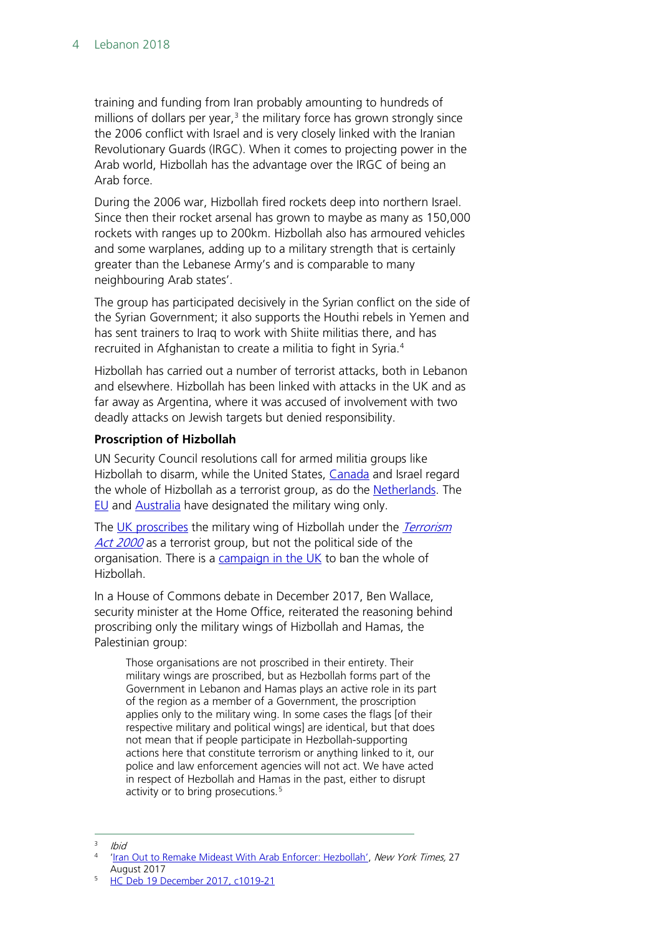training and funding from Iran probably amounting to hundreds of millions of dollars per year, $3$  the military force has grown strongly since the 2006 conflict with Israel and is very closely linked with the Iranian Revolutionary Guards (IRGC). When it comes to projecting power in the Arab world, Hizbollah has the advantage over the IRGC of being an Arab force.

During the 2006 war, Hizbollah fired rockets deep into northern Israel. Since then their rocket arsenal has grown to maybe as many as 150,000 rockets with ranges up to 200km. Hizbollah also has armoured vehicles and some warplanes, adding up to a military strength that is certainly greater than the Lebanese Army's and is comparable to many neighbouring Arab states'.

The group has participated decisively in the Syrian conflict on the side of the Syrian Government; it also supports the Houthi rebels in Yemen and has sent trainers to Iraq to work with Shiite militias there, and has recruited in Afghanistan to create a militia to fight in Syria. [4](#page-3-1)

Hizbollah has carried out a number of terrorist attacks, both in Lebanon and elsewhere. Hizbollah has been linked with attacks in the UK and as far away as Argentina, where it was accused of involvement with two deadly attacks on Jewish targets but denied responsibility.

#### **Proscription of Hizbollah**

UN Security Council resolutions call for armed militia groups like Hizbollah to disarm, while the United States, [Canada](https://www.publicsafety.gc.ca/cnt/ntnl-scrt/cntr-trrrsm/lstd-ntts/crrnt-lstd-ntts-en.aspx#2027) and Israel regard the whole of Hizbollah as a terrorist group, as do the [Netherlands.](http://foreignpolicy.com/2013/02/12/on-a-military-wing-and-a-prayer/) The [EU](http://eur-lex.europa.eu/legal-content/en/TXT/PDF/?uri=CELEX:32017D1426&from=EN) and [Australia](https://www.nationalsecurity.gov.au/listedterroristorganisations/pages/default.aspx) have designated the military wing only.

The [UK proscribes](https://www.gov.uk/government/uploads/system/uploads/attachment_data/file/670599/20171222_Proscription.pdf) the military wing of Hizbollah under the *Terrorism* [Act 2000](https://www.legislation.gov.uk/ukdsi/2008/9780110819525/contents) as a terrorist group, but not the political side of the organisation. There is a [campaign in the UK](https://www.change.org/p/ban-hezbollah-in-the-uk-in-its-entirety) to ban the whole of Hizbollah.

In a House of Commons debate in December 2017, Ben Wallace, security minister at the Home Office, reiterated the reasoning behind proscribing only the military wings of Hizbollah and Hamas, the Palestinian group:

Those organisations are not proscribed in their entirety. Their military wings are proscribed, but as Hezbollah forms part of the Government in Lebanon and Hamas plays an active role in its part of the region as a member of a Government, the proscription applies only to the military wing. In some cases the flags [of their respective military and political wings] are identical, but that does not mean that if people participate in Hezbollah-supporting actions here that constitute terrorism or anything linked to it, our police and law enforcement agencies will not act. We have acted in respect of Hezbollah and Hamas in the past, either to disrupt activity or to bring prosecutions.<sup>[5](#page-3-2)</sup>

<span id="page-3-2"></span><sup>5</sup> [HC Deb 19 December 2017, c1019-21](https://search.parliament.uk/search?q=hizbollah+AND+proscri*&rows=10&view=default&s=date)

<span id="page-3-0"></span> $I$ hid

<span id="page-3-1"></span>[<sup>&#</sup>x27;Iran Out to Remake Mideast With Arab Enforcer: Hezbollah',](https://www.nytimes.com/2017/08/27/world/middleeast/hezbollah-iran-syria-israel-lebanon.html) New York Times, 27 August 2017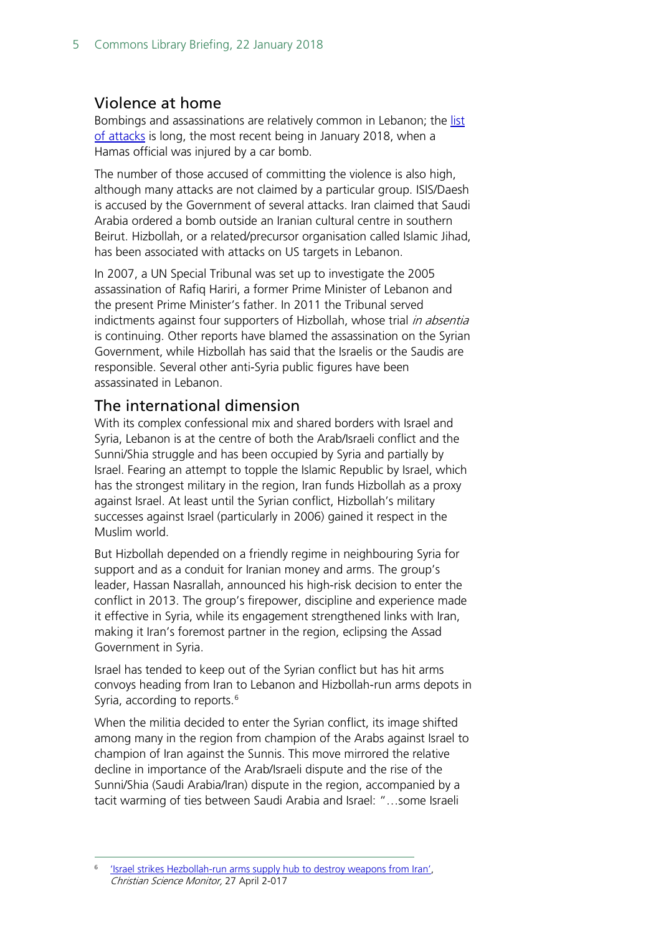## <span id="page-4-0"></span>Violence at home

Bombings and assassinations are relatively common in Lebanon; the [list](https://en.wikipedia.org/wiki/List_of_attacks_in_Lebanon)  of [attacks](https://en.wikipedia.org/wiki/List_of_attacks_in_Lebanon) is long, the most recent being in January 2018, when a Hamas official was injured by a car bomb.

The number of those accused of committing the violence is also high, although many attacks are not claimed by a particular group. ISIS/Daesh is accused by the Government of several attacks. Iran claimed that Saudi Arabia ordered a bomb outside an Iranian cultural centre in southern Beirut. Hizbollah, or a related/precursor organisation called Islamic Jihad, has been associated with attacks on US targets in Lebanon.

In 2007, a UN Special Tribunal was set up to investigate the 2005 assassination of Rafiq Hariri, a former Prime Minister of Lebanon and the present Prime Minister's father. In 2011 the Tribunal served indictments against four supporters of Hizbollah, whose trial *in absentia* is continuing. Other reports have blamed the assassination on the Syrian Government, while Hizbollah has said that the Israelis or the Saudis are responsible. Several other anti-Syria public figures have been assassinated in Lebanon.

## <span id="page-4-1"></span>The international dimension

With its complex confessional mix and shared borders with Israel and Syria, Lebanon is at the centre of both the Arab/Israeli conflict and the Sunni/Shia struggle and has been occupied by Syria and partially by Israel. Fearing an attempt to topple the Islamic Republic by Israel, which has the strongest military in the region, Iran funds Hizbollah as a proxy against Israel. At least until the Syrian conflict, Hizbollah's military successes against Israel (particularly in 2006) gained it respect in the Muslim world.

But Hizbollah depended on a friendly regime in neighbouring Syria for support and as a conduit for Iranian money and arms. The group's leader, Hassan Nasrallah, announced his high-risk decision to enter the conflict in 2013. The group's firepower, discipline and experience made it effective in Syria, while its engagement strengthened links with Iran, making it Iran's foremost partner in the region, eclipsing the Assad Government in Syria.

Israel has tended to keep out of the Syrian conflict but has hit arms convoys heading from Iran to Lebanon and Hizbollah-run arms depots in Syria, according to reports.<sup>6</sup>

When the militia decided to enter the Syrian conflict, its image shifted among many in the region from champion of the Arabs against Israel to champion of Iran against the Sunnis. This move mirrored the relative decline in importance of the Arab/Israeli dispute and the rise of the Sunni/Shia (Saudi Arabia/Iran) dispute in the region, accompanied by a tacit warming of ties between Saudi Arabia and Israel: "…some Israeli

<span id="page-4-2"></span>'Israel strikes Hezbollah-run arms supply hub to destroy weapons from Iran', Christian Science Monitor, 27 April 2-017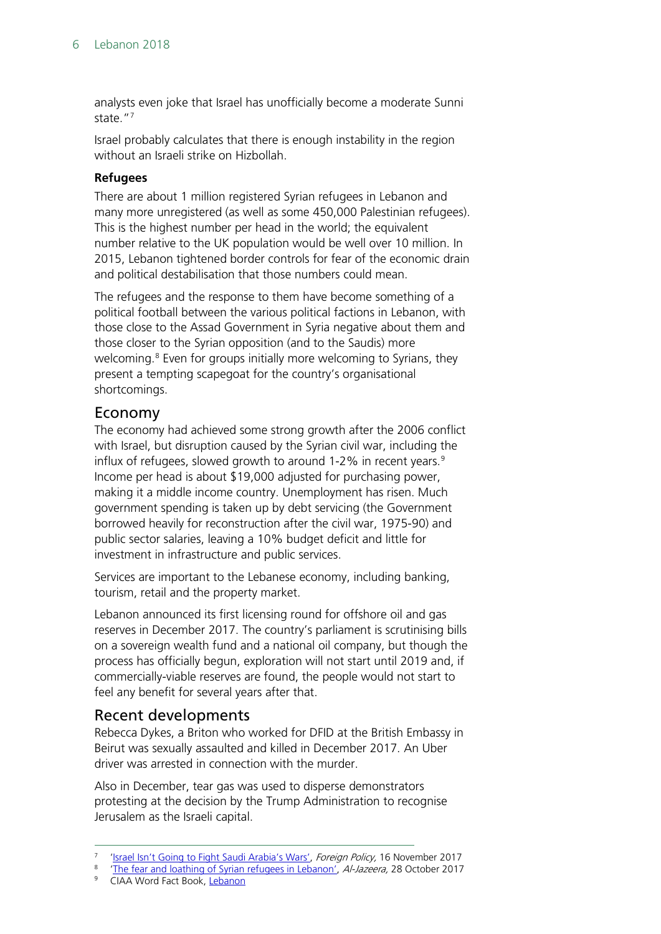analysts even joke that Israel has unofficially become a moderate Sunni state.["7](#page-5-2)

Israel probably calculates that there is enough instability in the region without an Israeli strike on Hizbollah.

#### **Refugees**

There are about 1 million registered Syrian refugees in Lebanon and many more unregistered (as well as some 450,000 Palestinian refugees). This is the highest number per head in the world; the equivalent number relative to the UK population would be well over 10 million. In 2015, Lebanon tightened border controls for fear of the economic drain and political destabilisation that those numbers could mean.

The refugees and the response to them have become something of a political football between the various political factions in Lebanon, with those close to the Assad Government in Syria negative about them and those closer to the Syrian opposition (and to the Saudis) more welcoming.<sup>[8](#page-5-3)</sup> Even for groups initially more welcoming to Syrians, they present a tempting scapegoat for the country's organisational shortcomings.

## <span id="page-5-0"></span>Economy

The economy had achieved some strong growth after the 2006 conflict with Israel, but disruption caused by the Syrian civil war, including the influx of refugees, slowed growth to around 1-2% in recent years. $9$ Income per head is about \$19,000 adjusted for purchasing power, making it a middle income country. Unemployment has risen. Much government spending is taken up by debt servicing (the Government borrowed heavily for reconstruction after the civil war, 1975-90) and public sector salaries, leaving a 10% budget deficit and little for investment in infrastructure and public services.

Services are important to the Lebanese economy, including banking, tourism, retail and the property market.

Lebanon announced its first licensing round for offshore oil and gas reserves in December 2017. The country's parliament is scrutinising bills on a sovereign wealth fund and a national oil company, but though the process has officially begun, exploration will not start until 2019 and, if commercially-viable reserves are found, the people would not start to feel any benefit for several years after that.

#### <span id="page-5-1"></span>Recent developments

Rebecca Dykes, a Briton who worked for DFID at the British Embassy in Beirut was sexually assaulted and killed in December 2017. An Uber driver was arrested in connection with the murder.

Also in December, tear gas was used to disperse demonstrators protesting at the decision by the Trump Administration to recognise Jerusalem as the Israeli capital.

<span id="page-5-2"></span><sup>&</sup>lt;sup>7</sup> 'Israel [Isn't Going to Fight Saudi Arabia's Wars',](http://foreignpolicy.com/2017/11/16/israel-isnt-going-to-fight-saudi-arabias-wars/) Foreign Policy, 16 November 2017<br><sup>8</sup> 'The foat and loathing of Syrian refugees in Johanen', *AL Jazerta*, 28 October 2017

<span id="page-5-4"></span><span id="page-5-3"></span><sup>&</sup>lt;sup>8</sup> ['The fear and loathing of Syrian refugees in Lebanon',](http://www.aljazeera.com/programmes/listeningpost/2017/10/fear-loathing-syrian-refugees-lebanon-171028121205744.html) Al-Jazeera, 28 October 2017<br><sup>9</sup> CIAA Word Fact Book, Johanon

<sup>9</sup> CIAA Word Fact Book, [Lebanon](https://www.cia.gov/library/publications/the-world-factbook/geos/le.html)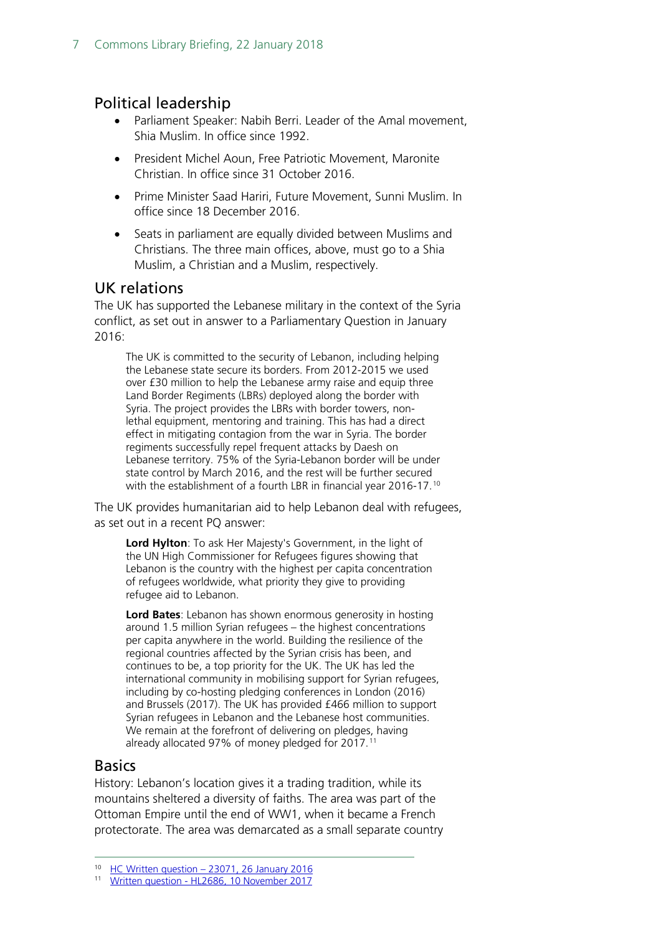## <span id="page-6-0"></span>Political leadership

- Parliament Speaker: Nabih Berri. Leader of the Amal movement, Shia Muslim. In office since 1992.
- President Michel Aoun, Free Patriotic Movement, Maronite Christian. In office since 31 October 2016.
- Prime Minister Saad Hariri, Future Movement, Sunni Muslim. In office since 18 December 2016.
- Seats in parliament are equally divided between Muslims and Christians. The three main offices, above, must go to a Shia Muslim, a Christian and a Muslim, respectively.

## <span id="page-6-1"></span>UK relations

The UK has supported the Lebanese military in the context of the Syria conflict, as set out in answer to a Parliamentary Question in January 2016:

The UK is committed to the security of Lebanon, including helping the Lebanese state secure its borders. From 2012-2015 we used over £30 million to help the Lebanese army raise and equip three Land Border Regiments (LBRs) deployed along the border with Syria. The project provides the LBRs with border towers, nonlethal equipment, mentoring and training. This has had a direct effect in mitigating contagion from the war in Syria. The border regiments successfully repel frequent attacks by Daesh on Lebanese territory. 75% of the Syria-Lebanon border will be under state control by March 2016, and the rest will be further secured with the establishment of a fourth LBR in financial year 2016-17.<sup>[10](#page-6-3)</sup>

The UK provides humanitarian aid to help Lebanon deal with refugees, as set out in a recent PQ answer:

**Lord Hylton**: To ask Her Majesty's Government, in the light of the UN High Commissioner for Refugees figures showing that Lebanon is the country with the highest per capita concentration of refugees worldwide, what priority they give to providing refugee aid to Lebanon.

**Lord Bates**: Lebanon has shown enormous generosity in hosting around 1.5 million Syrian refugees – the highest concentrations per capita anywhere in the world. Building the resilience of the regional countries affected by the Syrian crisis has been, and continues to be, a top priority for the UK. The UK has led the international community in mobilising support for Syrian refugees, including by co-hosting pledging conferences in London (2016) and Brussels (2017). The UK has provided £466 million to support Syrian refugees in Lebanon and the Lebanese host communities. We remain at the forefront of delivering on pledges, having already allocated 97% of money pledged for 2017.<sup>[11](#page-6-4)</sup>

## <span id="page-6-2"></span>**Basics**

History: Lebanon's location gives it a trading tradition, while its mountains sheltered a diversity of faiths. The area was part of the Ottoman Empire until the end of WW1, when it became a French protectorate. The area was demarcated as a small separate country

 <sup>10</sup> HC Written question – [23071, 26 January 2016](http://www.parliament.uk/business/publications/written-questions-answers-statements/written-question/Commons/2016-01-19/23071)

<span id="page-6-4"></span><span id="page-6-3"></span><sup>11</sup> Written question - [HL2686, 10 November 2017](http://www.parliament.uk/written-questions-answers-statements/written-question/lords/2017-10-30/HL2686)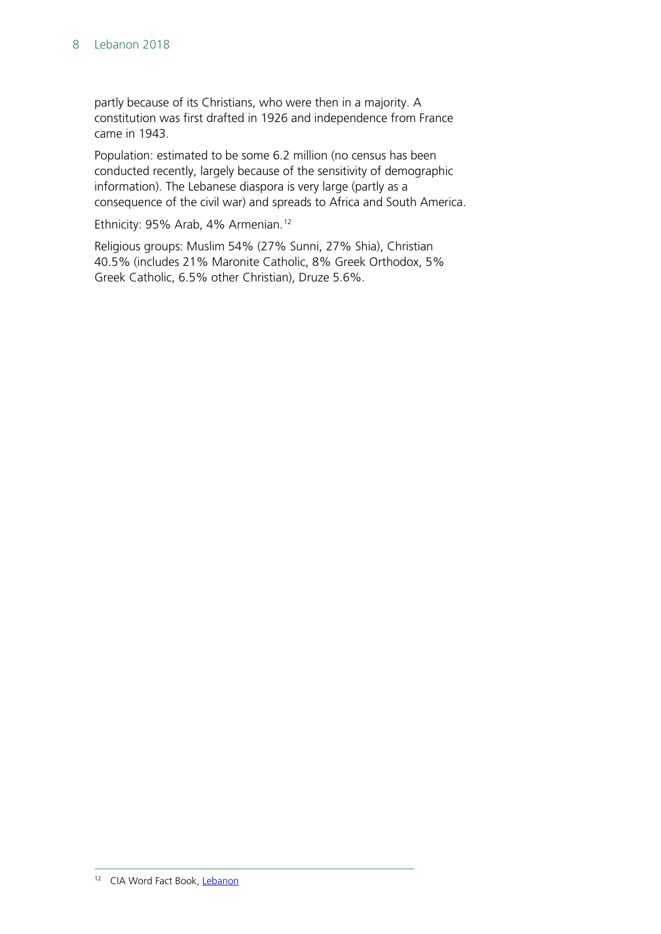partly because of its Christians, who were then in a majority. A constitution was first drafted in 1926 and independence from France came in 1943.

Population: estimated to be some 6.2 million (no census has been conducted recently, largely because of the sensitivity of demographic information). The Lebanese diaspora is very large (partly as a consequence of the civil war) and spreads to Africa and South America.

Ethnicity: 95% Arab, 4% Armenian.<sup>[12](#page-7-0)</sup>

<span id="page-7-0"></span>Religious groups: Muslim 54% (27% Sunni, 27% Shia), Christian 40.5% (includes 21% Maronite Catholic, 8% Greek Orthodox, 5% Greek Catholic, 6.5% other Christian), Druze 5.6%.